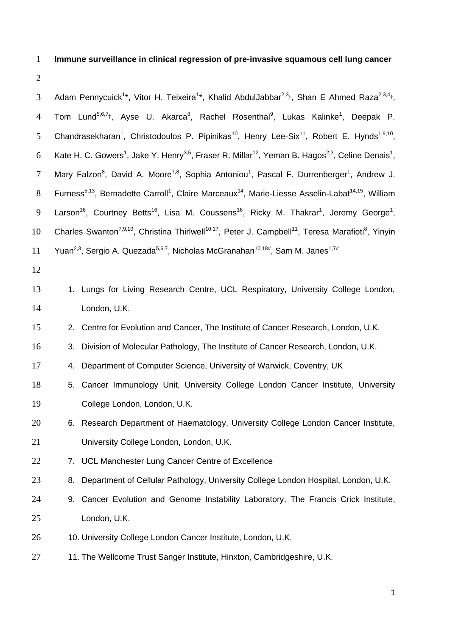# 1 **Immune surveillance in clinical regression of pre-invasive squamous cell lung cancer**

2

3 Adam Pennycuick<sup>1\*</sup>, Vitor H. Teixeira<sup>1\*</sup>, Khalid AbdulJabbar<sup>2,3</sup><sup>†</sup>, Shan E Ahmed Raza<sup>2,3,4</sup><sup>†</sup>, 4 Tom Lund<sup>5,6,7</sup>†, Ayse U. Akarca<sup>8</sup>, Rachel Rosenthal<sup>9</sup>, Lukas Kalinke<sup>1</sup>, Deepak P. 5 Chandrasekharan<sup>1</sup>, Christodoulos P. Pipinikas<sup>10</sup>, Henry Lee-Six<sup>11</sup>, Robert E. Hynds<sup>1,9,10</sup>, 6 Kate H. C. Gowers<sup>1</sup>, Jake Y. Henry<sup>3,5</sup>, Fraser R. Millar<sup>12</sup>, Yeman B. Hagos<sup>2,3</sup>, Celine Denais<sup>1</sup>, 7 Mary Falzon<sup>8</sup>, David A. Moore<sup>7,8</sup>, Sophia Antoniou<sup>1</sup>, Pascal F. Durrenberger<sup>1</sup>, Andrew J. 8 Furness<sup>5,13</sup>, Bernadette Carroll<sup>1</sup>, Claire Marceaux<sup>14</sup>, Marie-Liesse Asselin-Labat<sup>14,15</sup>, William 9 Larson<sup>16</sup>, Courtney Betts<sup>16</sup>, Lisa M. Coussens<sup>16</sup>, Ricky M. Thakrar<sup>1</sup>, Jeremy George<sup>1</sup>, 10 Charles Swanton<sup>7,9,10</sup>, Christina Thirlwell<sup>10,17</sup>, Peter J. Campbell<sup>11</sup>, Teresa Marafioti<sup>8</sup>, Yinyin 11 Yuan<sup>2,3</sup>, Sergio A. Quezada<sup>5,6,7</sup>, Nicholas McGranahan<sup>10,18#</sup>, Sam M. Janes<sup>1,7#</sup> 12 13 1. Lungs for Living Research Centre, UCL Respiratory, University College London, 14 London, U.K. 15 2. Centre for Evolution and Cancer, The Institute of Cancer Research, London, U.K. 16 3. Division of Molecular Pathology, The Institute of Cancer Research, London, U.K. 17 4. Department of Computer Science, University of Warwick, Coventry, UK 18 5. Cancer Immunology Unit, University College London Cancer Institute, University 19 College London, London, U.K. 20 6. Research Department of Haematology, University College London Cancer Institute, 21 University College London, London, U.K. 22 7. UCL Manchester Lung Cancer Centre of Excellence 23 8. Department of Cellular Pathology, University College London Hospital, London, U.K. 24 9. Cancer Evolution and Genome Instability Laboratory, The Francis Crick Institute, 25 London, U.K. 26 10. University College London Cancer Institute, London, U.K. 27 11. The Wellcome Trust Sanger Institute, Hinxton, Cambridgeshire, U.K.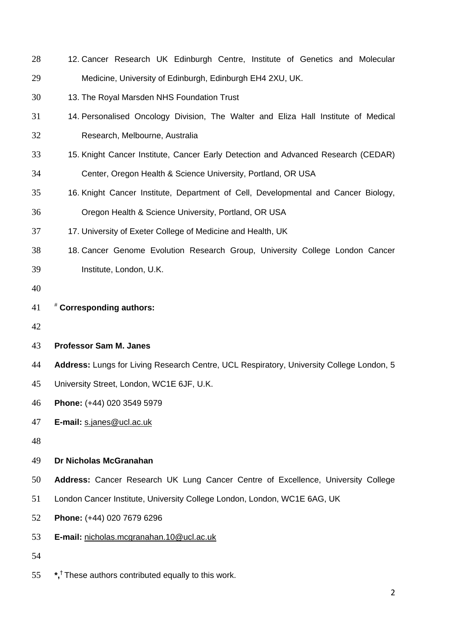| 28 | 12. Cancer Research UK Edinburgh Centre, Institute of Genetics and Molecular             |
|----|------------------------------------------------------------------------------------------|
| 29 | Medicine, University of Edinburgh, Edinburgh EH4 2XU, UK.                                |
| 30 | 13. The Royal Marsden NHS Foundation Trust                                               |
| 31 | 14. Personalised Oncology Division, The Walter and Eliza Hall Institute of Medical       |
| 32 | Research, Melbourne, Australia                                                           |
| 33 | 15. Knight Cancer Institute, Cancer Early Detection and Advanced Research (CEDAR)        |
| 34 | Center, Oregon Health & Science University, Portland, OR USA                             |
| 35 | 16. Knight Cancer Institute, Department of Cell, Developmental and Cancer Biology,       |
| 36 | Oregon Health & Science University, Portland, OR USA                                     |
| 37 | 17. University of Exeter College of Medicine and Health, UK                              |
| 38 | 18. Cancer Genome Evolution Research Group, University College London Cancer             |
| 39 | Institute, London, U.K.                                                                  |
| 40 |                                                                                          |
| 41 | # Corresponding authors:                                                                 |
| 42 |                                                                                          |
| 43 | <b>Professor Sam M. Janes</b>                                                            |
| 44 | Address: Lungs for Living Research Centre, UCL Respiratory, University College London, 5 |
| 45 | University Street, London, WC1E 6JF, U.K.                                                |
| 46 | Phone: (+44) 020 3549 5979                                                               |
| 47 | E-mail: s.janes@ucl.ac.uk                                                                |
| 48 |                                                                                          |
| 49 | Dr Nicholas McGranahan                                                                   |
| 50 | Address: Cancer Research UK Lung Cancer Centre of Excellence, University College         |
| 51 | London Cancer Institute, University College London, London, WC1E 6AG, UK                 |
| 52 | Phone: (+44) 020 7679 6296                                                               |
| 53 | E-mail: nicholas.mcgranahan.10@ucl.ac.uk                                                 |
| 54 |                                                                                          |
| 55 | *, <sup>†</sup> These authors contributed equally to this work.                          |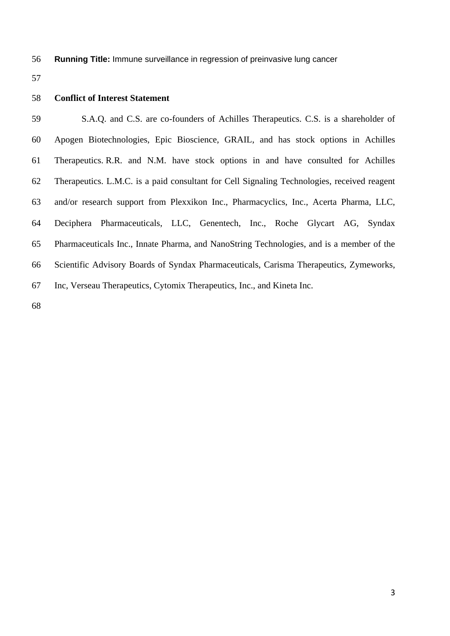**Running Title:** Immune surveillance in regression of preinvasive lung cancer

# **Conflict of Interest Statement**

 S.A.Q. and C.S. are co-founders of Achilles Therapeutics. C.S. is a shareholder of Apogen Biotechnologies, Epic Bioscience, GRAIL, and has stock options in Achilles Therapeutics. R.R. and N.M. have stock options in and have consulted for Achilles Therapeutics. L.M.C. is a paid consultant for Cell Signaling Technologies, received reagent and/or research support from Plexxikon Inc., Pharmacyclics, Inc., Acerta Pharma, LLC, Deciphera Pharmaceuticals, LLC, Genentech, Inc., Roche Glycart AG, Syndax Pharmaceuticals Inc., Innate Pharma, and NanoString Technologies, and is a member of the Scientific Advisory Boards of Syndax Pharmaceuticals, Carisma Therapeutics, Zymeworks, Inc, Verseau Therapeutics, Cytomix Therapeutics, Inc., and Kineta Inc.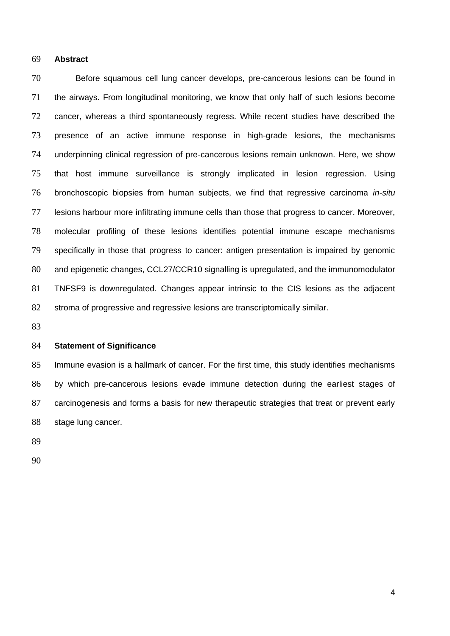### **Abstract**

 Before squamous cell lung cancer develops, pre-cancerous lesions can be found in the airways. From longitudinal monitoring, we know that only half of such lesions become cancer, whereas a third spontaneously regress. While recent studies have described the presence of an active immune response in high-grade lesions, the mechanisms underpinning clinical regression of pre-cancerous lesions remain unknown. Here, we show that host immune surveillance is strongly implicated in lesion regression. Using bronchoscopic biopsies from human subjects, we find that regressive carcinoma *in-situ* lesions harbour more infiltrating immune cells than those that progress to cancer. Moreover, molecular profiling of these lesions identifies potential immune escape mechanisms specifically in those that progress to cancer: antigen presentation is impaired by genomic 80 and epigenetic changes, CCL27/CCR10 signalling is upregulated, and the immunomodulator TNFSF9 is downregulated. Changes appear intrinsic to the CIS lesions as the adjacent stroma of progressive and regressive lesions are transcriptomically similar.

### **Statement of Significance**

 Immune evasion is a hallmark of cancer. For the first time, this study identifies mechanisms by which pre-cancerous lesions evade immune detection during the earliest stages of carcinogenesis and forms a basis for new therapeutic strategies that treat or prevent early stage lung cancer.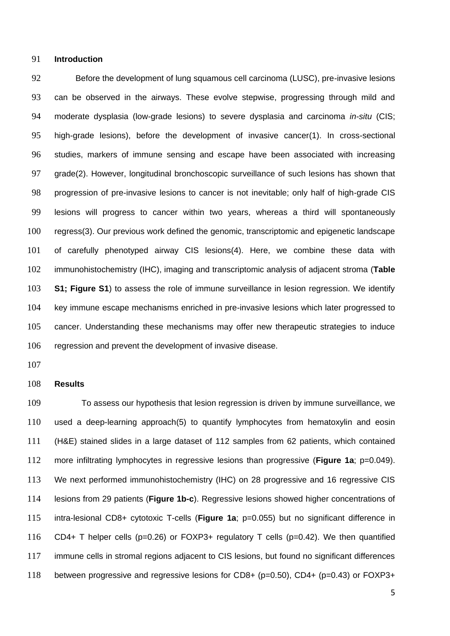### **Introduction**

 Before the development of lung squamous cell carcinoma (LUSC), pre-invasive lesions can be observed in the airways. These evolve stepwise, progressing through mild and moderate dysplasia (low-grade lesions) to severe dysplasia and carcinoma *in-situ* (CIS; high-grade lesions), before the development of invasive cancer(1). In cross-sectional studies, markers of immune sensing and escape have been associated with increasing grade(2). However, longitudinal bronchoscopic surveillance of such lesions has shown that progression of pre-invasive lesions to cancer is not inevitable; only half of high-grade CIS lesions will progress to cancer within two years, whereas a third will spontaneously regress(3). Our previous work defined the genomic, transcriptomic and epigenetic landscape of carefully phenotyped airway CIS lesions(4). Here, we combine these data with immunohistochemistry (IHC), imaging and transcriptomic analysis of adjacent stroma (**Table S1; Figure S1**) to assess the role of immune surveillance in lesion regression. We identify key immune escape mechanisms enriched in pre-invasive lesions which later progressed to cancer. Understanding these mechanisms may offer new therapeutic strategies to induce regression and prevent the development of invasive disease.

# **Results**

 To assess our hypothesis that lesion regression is driven by immune surveillance, we used a deep-learning approach(5) to quantify lymphocytes from hematoxylin and eosin (H&E) stained slides in a large dataset of 112 samples from 62 patients, which contained more infiltrating lymphocytes in regressive lesions than progressive (**Figure 1a**; p=0.049). We next performed immunohistochemistry (IHC) on 28 progressive and 16 regressive CIS lesions from 29 patients (**Figure 1b-c**). Regressive lesions showed higher concentrations of intra-lesional CD8+ cytotoxic T-cells (**Figure 1a**; p=0.055) but no significant difference in CD4+ T helper cells (p=0.26) or FOXP3+ regulatory T cells (p=0.42). We then quantified immune cells in stromal regions adjacent to CIS lesions, but found no significant differences between progressive and regressive lesions for CD8+ (p=0.50), CD4+ (p=0.43) or FOXP3+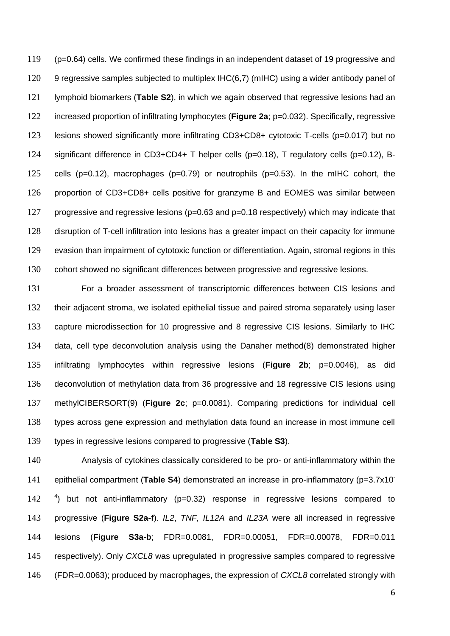(p=0.64) cells. We confirmed these findings in an independent dataset of 19 progressive and 120 9 regressive samples subjected to multiplex IHC(6,7) (mIHC) using a wider antibody panel of lymphoid biomarkers (**Table S2**), in which we again observed that regressive lesions had an increased proportion of infiltrating lymphocytes (**Figure 2a**; p=0.032). Specifically, regressive lesions showed significantly more infiltrating CD3+CD8+ cytotoxic T-cells (p=0.017) but no significant difference in CD3+CD4+ T helper cells (p=0.18), T regulatory cells (p=0.12), B- cells (p=0.12), macrophages (p=0.79) or neutrophils (p=0.53). In the mIHC cohort, the proportion of CD3+CD8+ cells positive for granzyme B and EOMES was similar between progressive and regressive lesions (p=0.63 and p=0.18 respectively) which may indicate that disruption of T-cell infiltration into lesions has a greater impact on their capacity for immune evasion than impairment of cytotoxic function or differentiation. Again, stromal regions in this cohort showed no significant differences between progressive and regressive lesions.

 For a broader assessment of transcriptomic differences between CIS lesions and their adjacent stroma, we isolated epithelial tissue and paired stroma separately using laser capture microdissection for 10 progressive and 8 regressive CIS lesions. Similarly to IHC data, cell type deconvolution analysis using the Danaher method(8) demonstrated higher infiltrating lymphocytes within regressive lesions (**Figure 2b**; p=0.0046), as did deconvolution of methylation data from 36 progressive and 18 regressive CIS lesions using methylCIBERSORT(9) (**Figure 2c**; p=0.0081). Comparing predictions for individual cell types across gene expression and methylation data found an increase in most immune cell types in regressive lesions compared to progressive (**Table S3**).

 Analysis of cytokines classically considered to be pro- or anti-inflammatory within the epithelial compartment (**Table S4**) demonstrated an increase in pro-inflammatory (p=3.7x10- 142 <sup>4</sup>) but not anti-inflammatory (p=0.32) response in regressive lesions compared to progressive (**Figure S2a-f**). *IL2*, *TNF, IL12A* and *IL23A* were all increased in regressive lesions (**Figure S3a-b**; FDR=0.0081, FDR=0.00051, FDR=0.00078, FDR=0.011 respectively). Only *CXCL8* was upregulated in progressive samples compared to regressive (FDR=0.0063); produced by macrophages, the expression of *CXCL8* correlated strongly with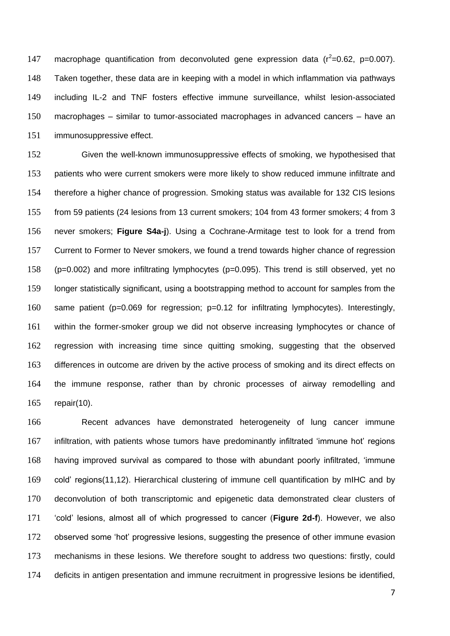147 macrophage quantification from deconvoluted gene expression data  $(r^2=0.62, p=0.007)$ . Taken together, these data are in keeping with a model in which inflammation via pathways including IL-2 and TNF fosters effective immune surveillance, whilst lesion-associated macrophages – similar to tumor-associated macrophages in advanced cancers – have an immunosuppressive effect.

 Given the well-known immunosuppressive effects of smoking, we hypothesised that 153 patients who were current smokers were more likely to show reduced immune infiltrate and therefore a higher chance of progression. Smoking status was available for 132 CIS lesions from 59 patients (24 lesions from 13 current smokers; 104 from 43 former smokers; 4 from 3 never smokers; **Figure S4a-j**). Using a Cochrane-Armitage test to look for a trend from Current to Former to Never smokers, we found a trend towards higher chance of regression (p=0.002) and more infiltrating lymphocytes (p=0.095). This trend is still observed, yet no longer statistically significant, using a bootstrapping method to account for samples from the same patient (p=0.069 for regression; p=0.12 for infiltrating lymphocytes). Interestingly, within the former-smoker group we did not observe increasing lymphocytes or chance of regression with increasing time since quitting smoking, suggesting that the observed 163 differences in outcome are driven by the active process of smoking and its direct effects on the immune response, rather than by chronic processes of airway remodelling and repair(10).

 Recent advances have demonstrated heterogeneity of lung cancer immune infiltration, with patients whose tumors have predominantly infiltrated 'immune hot' regions having improved survival as compared to those with abundant poorly infiltrated, 'immune cold' regions(11,12). Hierarchical clustering of immune cell quantification by mIHC and by deconvolution of both transcriptomic and epigenetic data demonstrated clear clusters of 'cold' lesions, almost all of which progressed to cancer (**Figure 2d-f**). However, we also observed some 'hot' progressive lesions, suggesting the presence of other immune evasion mechanisms in these lesions. We therefore sought to address two questions: firstly, could deficits in antigen presentation and immune recruitment in progressive lesions be identified,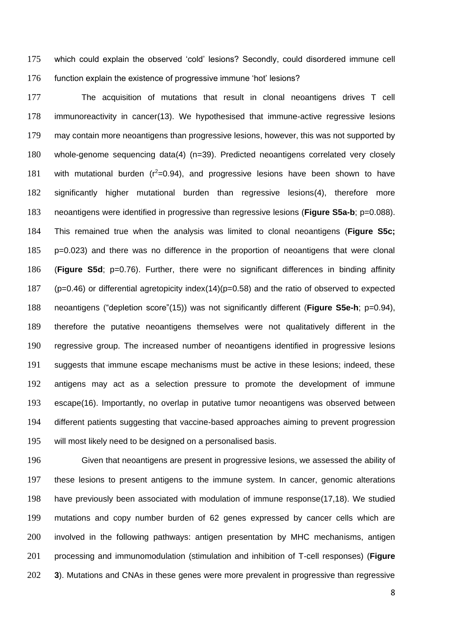which could explain the observed 'cold' lesions? Secondly, could disordered immune cell function explain the existence of progressive immune 'hot' lesions?

 The acquisition of mutations that result in clonal neoantigens drives T cell immunoreactivity in cancer(13). We hypothesised that immune-active regressive lesions may contain more neoantigens than progressive lesions, however, this was not supported by whole-genome sequencing data(4) (n=39). Predicted neoantigens correlated very closely 181 with mutational burden  $(r^2=0.94)$ , and progressive lesions have been shown to have significantly higher mutational burden than regressive lesions(4), therefore more neoantigens were identified in progressive than regressive lesions (**Figure S5a-b**; p=0.088). This remained true when the analysis was limited to clonal neoantigens (**Figure S5c;**  p=0.023) and there was no difference in the proportion of neoantigens that were clonal (**Figure S5d**; p=0.76). Further, there were no significant differences in binding affinity (p=0.46) or differential agretopicity index(14)(p=0.58) and the ratio of observed to expected neoantigens ("depletion score"(15)) was not significantly different (**Figure S5e-h**; p=0.94), therefore the putative neoantigens themselves were not qualitatively different in the regressive group. The increased number of neoantigens identified in progressive lesions suggests that immune escape mechanisms must be active in these lesions; indeed, these antigens may act as a selection pressure to promote the development of immune escape(16). Importantly, no overlap in putative tumor neoantigens was observed between different patients suggesting that vaccine-based approaches aiming to prevent progression will most likely need to be designed on a personalised basis.

 Given that neoantigens are present in progressive lesions, we assessed the ability of these lesions to present antigens to the immune system. In cancer, genomic alterations have previously been associated with modulation of immune response(17,18). We studied mutations and copy number burden of 62 genes expressed by cancer cells which are involved in the following pathways: antigen presentation by MHC mechanisms, antigen processing and immunomodulation (stimulation and inhibition of T-cell responses) (**Figure 3**). Mutations and CNAs in these genes were more prevalent in progressive than regressive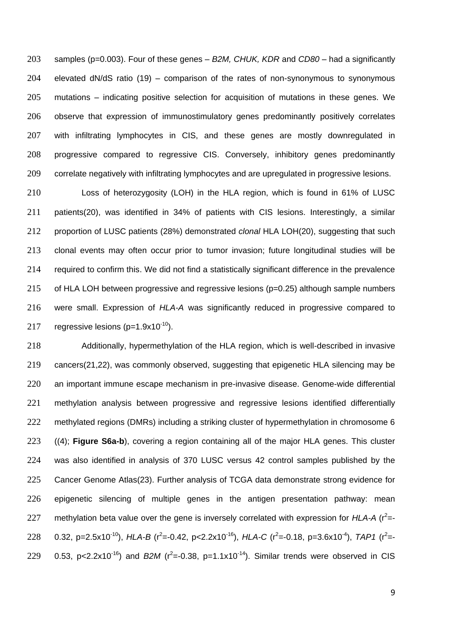samples (p=0.003). Four of these genes – *B2M, CHUK, KDR* and *CD80* – had a significantly elevated dN/dS ratio (19) – comparison of the rates of non-synonymous to synonymous mutations – indicating positive selection for acquisition of mutations in these genes. We observe that expression of immunostimulatory genes predominantly positively correlates with infiltrating lymphocytes in CIS, and these genes are mostly downregulated in progressive compared to regressive CIS. Conversely, inhibitory genes predominantly correlate negatively with infiltrating lymphocytes and are upregulated in progressive lesions.

 Loss of heterozygosity (LOH) in the HLA region, which is found in 61% of LUSC patients(20), was identified in 34% of patients with CIS lesions. Interestingly, a similar proportion of LUSC patients (28%) demonstrated *clonal* HLA LOH(20), suggesting that such clonal events may often occur prior to tumor invasion; future longitudinal studies will be required to confirm this. We did not find a statistically significant difference in the prevalence of HLA LOH between progressive and regressive lesions (p=0.25) although sample numbers were small. Expression of *HLA-A* was significantly reduced in progressive compared to 217 regressive lesions  $(p=1.9x10^{-10})$ .

 Additionally, hypermethylation of the HLA region, which is well-described in invasive cancers(21,22), was commonly observed, suggesting that epigenetic HLA silencing may be an important immune escape mechanism in pre-invasive disease. Genome-wide differential methylation analysis between progressive and regressive lesions identified differentially 222 methylated regions (DMRs) including a striking cluster of hypermethylation in chromosome 6 ((4); **Figure S6a-b**), covering a region containing all of the major HLA genes. This cluster was also identified in analysis of 370 LUSC versus 42 control samples published by the Cancer Genome Atlas(23). Further analysis of TCGA data demonstrate strong evidence for epigenetic silencing of multiple genes in the antigen presentation pathway: mean 227 methylation beta value over the gene is inversely correlated with expression for  $HLA-A$  ( $r^2 = -r^2$ 228 0.32, p=2.5x10<sup>-10</sup>), *HLA-B* (r<sup>2</sup>=-0.42, p<2.2x10<sup>-16</sup>), *HLA-C* (r<sup>2</sup>=-0.18, p=3.6x10<sup>-4</sup>), *TAP1* (r<sup>2</sup>=-229 0.53, p<2.2x10<sup>-16</sup>) and *B2M* ( $r^2$ =-0.38, p=1.1x10<sup>-14</sup>). Similar trends were observed in CIS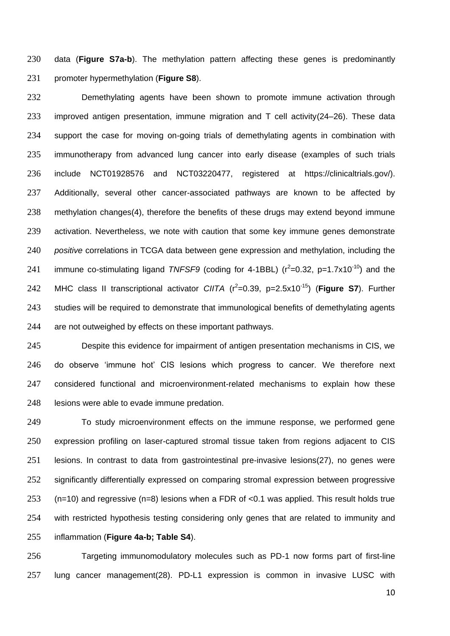data (**Figure S7a-b**). The methylation pattern affecting these genes is predominantly promoter hypermethylation (**Figure S8**).

 Demethylating agents have been shown to promote immune activation through improved antigen presentation, immune migration and T cell activity(24–26). These data support the case for moving on-going trials of demethylating agents in combination with immunotherapy from advanced lung cancer into early disease (examples of such trials include NCT01928576 and NCT03220477, registered at https://clinicaltrials.gov/). Additionally, several other cancer-associated pathways are known to be affected by methylation changes(4), therefore the benefits of these drugs may extend beyond immune activation. Nevertheless, we note with caution that some key immune genes demonstrate *positive* correlations in TCGA data between gene expression and methylation, including the 241 immune co-stimulating ligand *TNFSF9* (coding for 4-1BBL)  $(r^2=0.32, p=1.7x10^{-10})$  and the 242 MHC class II transcriptional activator *CIITA* (r<sup>2</sup>=0.39, p=2.5x10<sup>-15</sup>) (**Figure S7**). Further 243 studies will be required to demonstrate that immunological benefits of demethylating agents 244 are not outweighed by effects on these important pathways.

 Despite this evidence for impairment of antigen presentation mechanisms in CIS, we do observe 'immune hot' CIS lesions which progress to cancer. We therefore next 247 considered functional and microenvironment-related mechanisms to explain how these 248 lesions were able to evade immune predation.

 To study microenvironment effects on the immune response, we performed gene expression profiling on laser-captured stromal tissue taken from regions adjacent to CIS lesions. In contrast to data from gastrointestinal pre-invasive lesions(27), no genes were significantly differentially expressed on comparing stromal expression between progressive (n=10) and regressive (n=8) lesions when a FDR of <0.1 was applied. This result holds true with restricted hypothesis testing considering only genes that are related to immunity and inflammation (**Figure 4a-b; Table S4**).

 Targeting immunomodulatory molecules such as PD-1 now forms part of first-line lung cancer management(28). PD-L1 expression is common in invasive LUSC with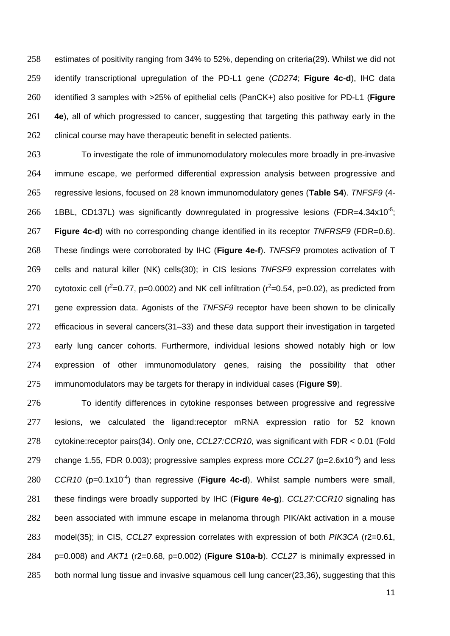estimates of positivity ranging from 34% to 52%, depending on criteria(29). Whilst we did not identify transcriptional upregulation of the PD-L1 gene (*CD274*; **Figure 4c-d**), IHC data identified 3 samples with >25% of epithelial cells (PanCK+) also positive for PD-L1 (**Figure 4e**), all of which progressed to cancer, suggesting that targeting this pathway early in the 262 clinical course may have therapeutic benefit in selected patients.

 To investigate the role of immunomodulatory molecules more broadly in pre-invasive immune escape, we performed differential expression analysis between progressive and regressive lesions, focused on 28 known immunomodulatory genes (**Table S4**). *TNFSF9* (4- 266 1BBL, CD137L) was significantly downregulated in progressive lesions (FDR=4.34x10<sup>-5</sup>; **Figure 4c-d**) with no corresponding change identified in its receptor *TNFRSF9* (FDR=0.6). These findings were corroborated by IHC (**Figure 4e-f**). *TNFSF9* promotes activation of T cells and natural killer (NK) cells(30); in CIS lesions *TNFSF9* expression correlates with 270 cytotoxic cell ( $r^2$ =0.77, p=0.0002) and NK cell infiltration ( $r^2$ =0.54, p=0.02), as predicted from gene expression data. Agonists of the *TNFSF9* receptor have been shown to be clinically efficacious in several cancers(31–33) and these data support their investigation in targeted early lung cancer cohorts. Furthermore, individual lesions showed notably high or low expression of other immunomodulatory genes, raising the possibility that other immunomodulators may be targets for therapy in individual cases (**Figure S9**).

 To identify differences in cytokine responses between progressive and regressive lesions, we calculated the ligand:receptor mRNA expression ratio for 52 known cytokine:receptor pairs(34). Only one, *CCL27:CCR10*, was significant with FDR < 0.01 (Fold 279 change 1.55, FDR 0.003); progressive samples express more  $CCL27$  (p=2.6x10<sup>-6</sup>) and less *CCR10* (p=0.1x10<sup>-4</sup>) than regressive (Figure 4c-d). Whilst sample numbers were small, these findings were broadly supported by IHC (**Figure 4e-g**). *CCL27:CCR10* signaling has been associated with immune escape in melanoma through PIK/Akt activation in a mouse model(35); in CIS, *CCL27* expression correlates with expression of both *PIK3CA* (r2=0.61, p=0.008) and *AKT1* (r2=0.68, p=0.002) (**Figure S10a-b**). *CCL27* is minimally expressed in both normal lung tissue and invasive squamous cell lung cancer(23,36), suggesting that this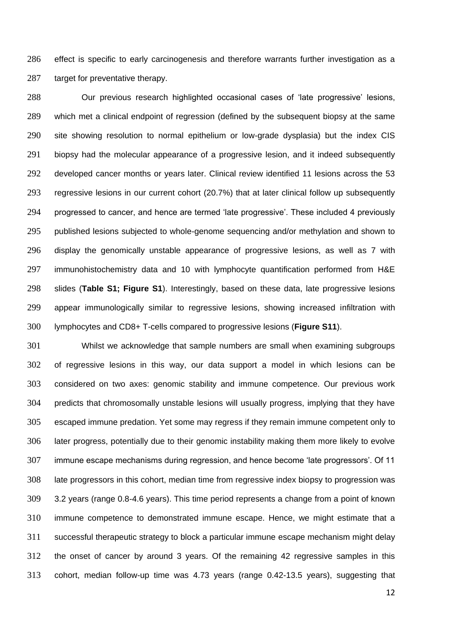effect is specific to early carcinogenesis and therefore warrants further investigation as a target for preventative therapy.

 Our previous research highlighted occasional cases of 'late progressive' lesions, which met a clinical endpoint of regression (defined by the subsequent biopsy at the same site showing resolution to normal epithelium or low-grade dysplasia) but the index CIS biopsy had the molecular appearance of a progressive lesion, and it indeed subsequently developed cancer months or years later. Clinical review identified 11 lesions across the 53 regressive lesions in our current cohort (20.7%) that at later clinical follow up subsequently progressed to cancer, and hence are termed 'late progressive'. These included 4 previously published lesions subjected to whole-genome sequencing and/or methylation and shown to display the genomically unstable appearance of progressive lesions, as well as 7 with immunohistochemistry data and 10 with lymphocyte quantification performed from H&E slides (**Table S1; Figure S1**). Interestingly, based on these data, late progressive lesions appear immunologically similar to regressive lesions, showing increased infiltration with lymphocytes and CD8+ T-cells compared to progressive lesions (**Figure S11**).

 Whilst we acknowledge that sample numbers are small when examining subgroups of regressive lesions in this way, our data support a model in which lesions can be considered on two axes: genomic stability and immune competence. Our previous work predicts that chromosomally unstable lesions will usually progress, implying that they have escaped immune predation. Yet some may regress if they remain immune competent only to later progress, potentially due to their genomic instability making them more likely to evolve immune escape mechanisms during regression, and hence become 'late progressors'. Of 11 late progressors in this cohort, median time from regressive index biopsy to progression was 3.2 years (range 0.8-4.6 years). This time period represents a change from a point of known immune competence to demonstrated immune escape. Hence, we might estimate that a successful therapeutic strategy to block a particular immune escape mechanism might delay the onset of cancer by around 3 years. Of the remaining 42 regressive samples in this cohort, median follow-up time was 4.73 years (range 0.42-13.5 years), suggesting that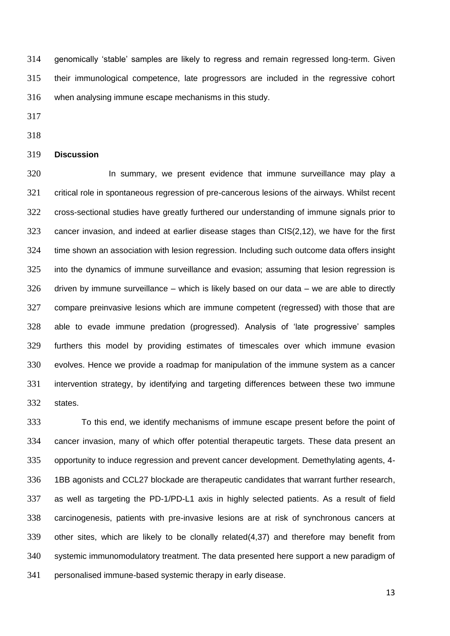genomically 'stable' samples are likely to regress and remain regressed long-term. Given their immunological competence, late progressors are included in the regressive cohort when analysing immune escape mechanisms in this study.

- 
- 

### **Discussion**

320 In summary, we present evidence that immune surveillance may play a critical role in spontaneous regression of pre-cancerous lesions of the airways. Whilst recent cross-sectional studies have greatly furthered our understanding of immune signals prior to cancer invasion, and indeed at earlier disease stages than CIS(2,12), we have for the first time shown an association with lesion regression. Including such outcome data offers insight into the dynamics of immune surveillance and evasion; assuming that lesion regression is driven by immune surveillance – which is likely based on our data – we are able to directly compare preinvasive lesions which are immune competent (regressed) with those that are able to evade immune predation (progressed). Analysis of 'late progressive' samples furthers this model by providing estimates of timescales over which immune evasion evolves. Hence we provide a roadmap for manipulation of the immune system as a cancer intervention strategy, by identifying and targeting differences between these two immune states.

 To this end, we identify mechanisms of immune escape present before the point of cancer invasion, many of which offer potential therapeutic targets. These data present an opportunity to induce regression and prevent cancer development. Demethylating agents, 4- 1BB agonists and CCL27 blockade are therapeutic candidates that warrant further research, as well as targeting the PD-1/PD-L1 axis in highly selected patients. As a result of field carcinogenesis, patients with pre-invasive lesions are at risk of synchronous cancers at other sites, which are likely to be clonally related(4,37) and therefore may benefit from systemic immunomodulatory treatment. The data presented here support a new paradigm of personalised immune-based systemic therapy in early disease.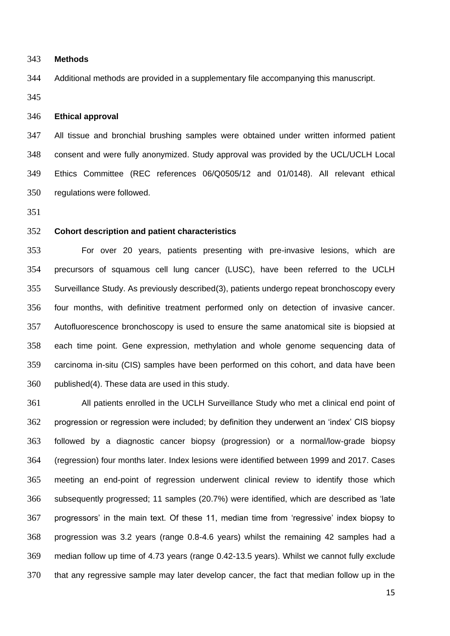#### **Methods**

Additional methods are provided in a supplementary file accompanying this manuscript.

## **Ethical approval**

 All tissue and bronchial brushing samples were obtained under written informed patient consent and were fully anonymized. Study approval was provided by the UCL/UCLH Local Ethics Committee (REC references 06/Q0505/12 and 01/0148). All relevant ethical regulations were followed.

# **Cohort description and patient characteristics**

 For over 20 years, patients presenting with pre-invasive lesions, which are precursors of squamous cell lung cancer (LUSC), have been referred to the UCLH Surveillance Study. As previously described(3), patients undergo repeat bronchoscopy every four months, with definitive treatment performed only on detection of invasive cancer. Autofluorescence bronchoscopy is used to ensure the same anatomical site is biopsied at each time point. Gene expression, methylation and whole genome sequencing data of carcinoma in-situ (CIS) samples have been performed on this cohort, and data have been published(4). These data are used in this study.

 All patients enrolled in the UCLH Surveillance Study who met a clinical end point of progression or regression were included; by definition they underwent an 'index' CIS biopsy followed by a diagnostic cancer biopsy (progression) or a normal/low-grade biopsy (regression) four months later. Index lesions were identified between 1999 and 2017. Cases meeting an end-point of regression underwent clinical review to identify those which subsequently progressed; 11 samples (20.7%) were identified, which are described as 'late progressors' in the main text. Of these 11, median time from 'regressive' index biopsy to progression was 3.2 years (range 0.8-4.6 years) whilst the remaining 42 samples had a median follow up time of 4.73 years (range 0.42-13.5 years). Whilst we cannot fully exclude that any regressive sample may later develop cancer, the fact that median follow up in the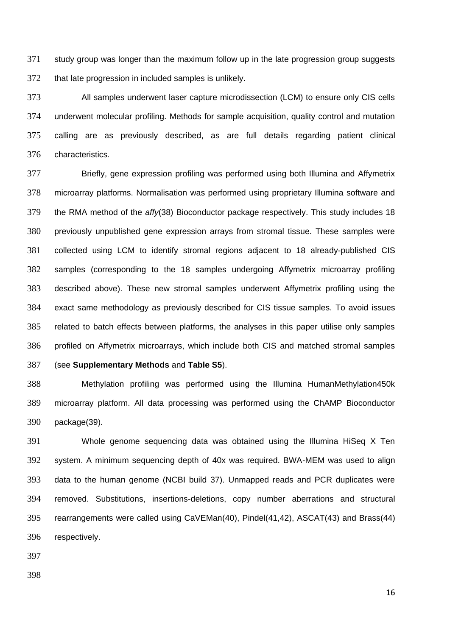study group was longer than the maximum follow up in the late progression group suggests that late progression in included samples is unlikely.

 All samples underwent laser capture microdissection (LCM) to ensure only CIS cells underwent molecular profiling. Methods for sample acquisition, quality control and mutation calling are as previously described, as are full details regarding patient clinical characteristics.

 Briefly, gene expression profiling was performed using both Illumina and Affymetrix microarray platforms. Normalisation was performed using proprietary Illumina software and the RMA method of the *affy*(38) Bioconductor package respectively. This study includes 18 previously unpublished gene expression arrays from stromal tissue. These samples were collected using LCM to identify stromal regions adjacent to 18 already-published CIS samples (corresponding to the 18 samples undergoing Affymetrix microarray profiling described above). These new stromal samples underwent Affymetrix profiling using the exact same methodology as previously described for CIS tissue samples. To avoid issues related to batch effects between platforms, the analyses in this paper utilise only samples profiled on Affymetrix microarrays, which include both CIS and matched stromal samples

(see **Supplementary Methods** and **Table S5**).

 Methylation profiling was performed using the Illumina HumanMethylation450k microarray platform. All data processing was performed using the ChAMP Bioconductor package(39).

 Whole genome sequencing data was obtained using the Illumina HiSeq X Ten system. A minimum sequencing depth of 40x was required. BWA-MEM was used to align data to the human genome (NCBI build 37). Unmapped reads and PCR duplicates were removed. Substitutions, insertions-deletions, copy number aberrations and structural rearrangements were called using CaVEMan(40), Pindel(41,42), ASCAT(43) and Brass(44) respectively.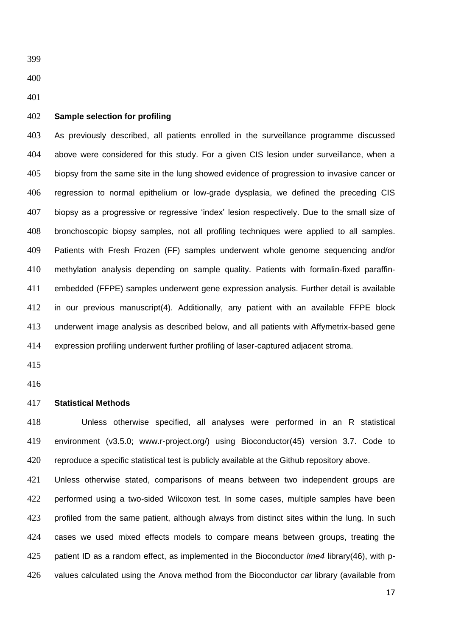### **Sample selection for profiling**

 As previously described, all patients enrolled in the surveillance programme discussed above were considered for this study. For a given CIS lesion under surveillance, when a biopsy from the same site in the lung showed evidence of progression to invasive cancer or regression to normal epithelium or low-grade dysplasia, we defined the preceding CIS biopsy as a progressive or regressive 'index' lesion respectively. Due to the small size of bronchoscopic biopsy samples, not all profiling techniques were applied to all samples. Patients with Fresh Frozen (FF) samples underwent whole genome sequencing and/or methylation analysis depending on sample quality. Patients with formalin-fixed paraffin- embedded (FFPE) samples underwent gene expression analysis. Further detail is available in our previous manuscript(4). Additionally, any patient with an available FFPE block underwent image analysis as described below, and all patients with Affymetrix-based gene expression profiling underwent further profiling of laser-captured adjacent stroma.

### **Statistical Methods**

 Unless otherwise specified, all analyses were performed in an R statistical environment (v3.5.0; www.r-project.org/) using Bioconductor(45) version 3.7. Code to reproduce a specific statistical test is publicly available at the Github repository above.

 Unless otherwise stated, comparisons of means between two independent groups are performed using a two-sided Wilcoxon test. In some cases, multiple samples have been profiled from the same patient, although always from distinct sites within the lung. In such cases we used mixed effects models to compare means between groups, treating the patient ID as a random effect, as implemented in the Bioconductor *lme4* library(46), with p-values calculated using the Anova method from the Bioconductor *car* library (available from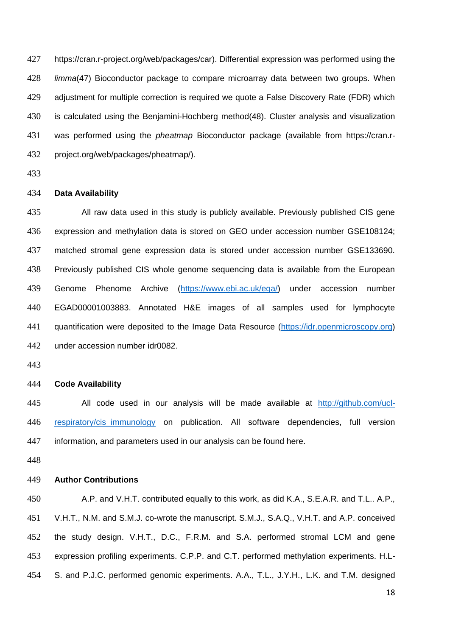https://cran.r-project.org/web/packages/car). Differential expression was performed using the *limma*(47) Bioconductor package to compare microarray data between two groups. When adjustment for multiple correction is required we quote a False Discovery Rate (FDR) which is calculated using the Benjamini-Hochberg method(48). Cluster analysis and visualization was performed using the *pheatmap* Bioconductor package (available from https://cran.r-project.org/web/packages/pheatmap/).

## **Data Availability**

 All raw data used in this study is publicly available. Previously published CIS gene expression and methylation data is stored on GEO under accession number GSE108124; matched stromal gene expression data is stored under accession number GSE133690. Previously published CIS whole genome sequencing data is available from the European Genome Phenome Archive [\(https://www.ebi.ac.uk/ega/\)](https://www.ebi.ac.uk/ega/) under accession number EGAD00001003883. Annotated H&E images of all samples used for lymphocyte quantification were deposited to the Image Data Resource [\(https://idr.openmicroscopy.org\)](https://eur01.safelinks.protection.outlook.com/?url=https%3A%2F%2Fidr.openmicroscopy.org%2F&data=02%7C01%7C%7C9402728f861f4c23c2a108d7fbde2426%7C1faf88fea9984c5b93c9210a11d9a5c2%7C0%7C0%7C637254803829789255&sdata=2VtwDSShVqEXN4sq3WxhMuUuJMeIerVDK0shdqeyUFU%3D&reserved=0) under accession number idr0082.

# **Code Availability**

 All code used in our analysis will be made available at [http://github.com/ucl](http://github.com/ucl-respiratory/cis_immunology)[respiratory/cis\\_immunology](http://github.com/ucl-respiratory/cis_immunology) on publication. All software dependencies, full version information, and parameters used in our analysis can be found here.

## **Author Contributions**

 A.P. and V.H.T. contributed equally to this work, as did K.A., S.E.A.R. and T.L.. A.P., V.H.T., N.M. and S.M.J. co-wrote the manuscript. S.M.J., S.A.Q., V.H.T. and A.P. conceived the study design. V.H.T., D.C., F.R.M. and S.A. performed stromal LCM and gene expression profiling experiments. C.P.P. and C.T. performed methylation experiments. H.L-S. and P.J.C. performed genomic experiments. A.A., T.L., J.Y.H., L.K. and T.M. designed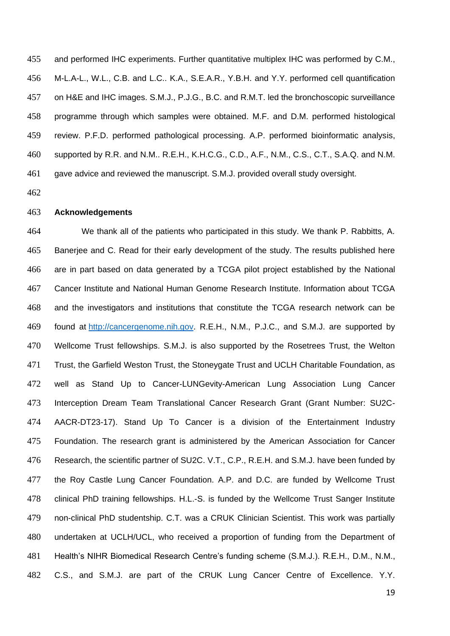and performed IHC experiments. Further quantitative multiplex IHC was performed by C.M., M-L.A-L., W.L., C.B. and L.C.. K.A., S.E.A.R., Y.B.H. and Y.Y. performed cell quantification on H&E and IHC images. S.M.J., P.J.G., B.C. and R.M.T. led the bronchoscopic surveillance programme through which samples were obtained. M.F. and D.M. performed histological review. P.F.D. performed pathological processing. A.P. performed bioinformatic analysis, supported by R.R. and N.M.. R.E.H., K.H.C.G., C.D., A.F., N.M., C.S., C.T., S.A.Q. and N.M. gave advice and reviewed the manuscript. S.M.J. provided overall study oversight.

## **Acknowledgements**

 We thank all of the patients who participated in this study. We thank P. Rabbitts, A. Banerjee and C. Read for their early development of the study. The results published here are in part based on data generated by a TCGA pilot project established by the National Cancer Institute and National Human Genome Research Institute. Information about TCGA and the investigators and institutions that constitute the TCGA research network can be found at [http://cancergenome.nih.gov.](http://cancergenome.nih.gov/) R.E.H., N.M., P.J.C., and S.M.J. are supported by Wellcome Trust fellowships. S.M.J. is also supported by the Rosetrees Trust, the Welton 471 Trust, the Garfield Weston Trust, the Stoneygate Trust and UCLH Charitable Foundation, as well as Stand Up to Cancer-LUNGevity-American Lung Association Lung Cancer Interception Dream Team Translational Cancer Research Grant (Grant Number: SU2C- AACR-DT23-17). Stand Up To Cancer is a division of the Entertainment Industry Foundation. The research grant is administered by the American Association for Cancer Research, the scientific partner of SU2C. V.T., C.P., R.E.H. and S.M.J. have been funded by the Roy Castle Lung Cancer Foundation. A.P. and D.C. are funded by Wellcome Trust clinical PhD training fellowships. H.L.-S. is funded by the Wellcome Trust Sanger Institute non-clinical PhD studentship. C.T. was a CRUK Clinician Scientist. This work was partially undertaken at UCLH/UCL, who received a proportion of funding from the Department of Health's NIHR Biomedical Research Centre's funding scheme (S.M.J.). R.E.H., D.M., N.M., C.S., and S.M.J. are part of the CRUK Lung Cancer Centre of Excellence. Y.Y.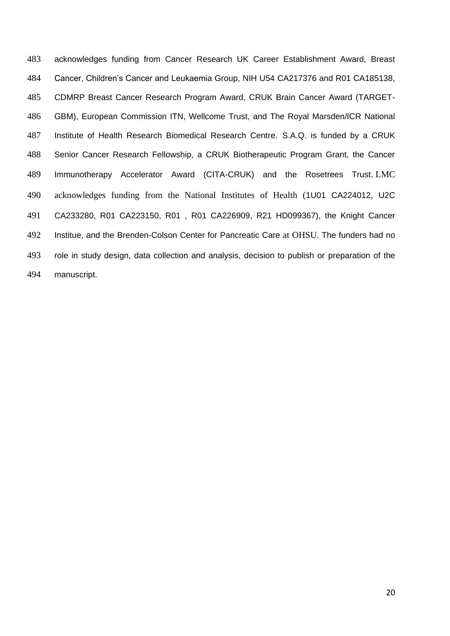acknowledges funding from Cancer Research UK Career Establishment Award, Breast Cancer, Children's Cancer and Leukaemia Group, NIH U54 CA217376 and R01 CA185138, CDMRP Breast Cancer Research Program Award, CRUK Brain Cancer Award (TARGET- GBM), European Commission ITN, Wellcome Trust, and The Royal Marsden/ICR National Institute of Health Research Biomedical Research Centre. S.A.Q. is funded by a CRUK Senior Cancer Research Fellowship, a CRUK Biotherapeutic Program Grant, the Cancer Immunotherapy Accelerator Award (CITA-CRUK) and the Rosetrees Trust. LMC acknowledges funding from the National Institutes of Health (1U01 CA224012, U2C CA233280, R01 CA223150, R01 , R01 CA226909, R21 HD099367), the Knight Cancer Institue, and the Brenden-Colson Center for Pancreatic Care at OHSU. The funders had no role in study design, data collection and analysis, decision to publish or preparation of the manuscript.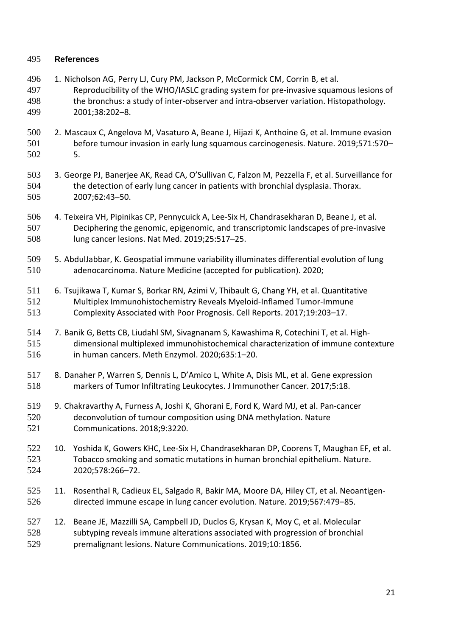# **References**

- 496 1. Nicholson AG, Perry LJ, Cury PM, Jackson P, McCormick CM, Corrin B, et al. Reproducibility of the WHO/IASLC grading system for pre-invasive squamous lesions of the bronchus: a study of inter-observer and intra-observer variation. Histopathology. 2001;38:202–8.
- 2. Mascaux C, Angelova M, Vasaturo A, Beane J, Hijazi K, Anthoine G, et al. Immune evasion before tumour invasion in early lung squamous carcinogenesis. Nature. 2019;571:570– 5.
- 3. George PJ, Banerjee AK, Read CA, O'Sullivan C, Falzon M, Pezzella F, et al. Surveillance for the detection of early lung cancer in patients with bronchial dysplasia. Thorax. 2007;62:43–50.
- 4. Teixeira VH, Pipinikas CP, Pennycuick A, Lee-Six H, Chandrasekharan D, Beane J, et al. Deciphering the genomic, epigenomic, and transcriptomic landscapes of pre-invasive lung cancer lesions. Nat Med. 2019;25:517–25.
- 5. AbdulJabbar, K. Geospatial immune variability illuminates differential evolution of lung adenocarcinoma. Nature Medicine (accepted for publication). 2020;
- 6. Tsujikawa T, Kumar S, Borkar RN, Azimi V, Thibault G, Chang YH, et al. Quantitative Multiplex Immunohistochemistry Reveals Myeloid-Inflamed Tumor-Immune Complexity Associated with Poor Prognosis. Cell Reports. 2017;19:203–17.
- 7. Banik G, Betts CB, Liudahl SM, Sivagnanam S, Kawashima R, Cotechini T, et al. High- dimensional multiplexed immunohistochemical characterization of immune contexture in human cancers. Meth Enzymol. 2020;635:1–20.
- 8. Danaher P, Warren S, Dennis L, D'Amico L, White A, Disis ML, et al. Gene expression markers of Tumor Infiltrating Leukocytes. J Immunother Cancer. 2017;5:18.
- 9. Chakravarthy A, Furness A, Joshi K, Ghorani E, Ford K, Ward MJ, et al. Pan-cancer deconvolution of tumour composition using DNA methylation. Nature Communications. 2018;9:3220.
- 10. Yoshida K, Gowers KHC, Lee-Six H, Chandrasekharan DP, Coorens T, Maughan EF, et al. Tobacco smoking and somatic mutations in human bronchial epithelium. Nature. 2020;578:266–72.
- 11. Rosenthal R, Cadieux EL, Salgado R, Bakir MA, Moore DA, Hiley CT, et al. Neoantigen-directed immune escape in lung cancer evolution. Nature. 2019;567:479–85.
- 12. Beane JE, Mazzilli SA, Campbell JD, Duclos G, Krysan K, Moy C, et al. Molecular subtyping reveals immune alterations associated with progression of bronchial premalignant lesions. Nature Communications. 2019;10:1856.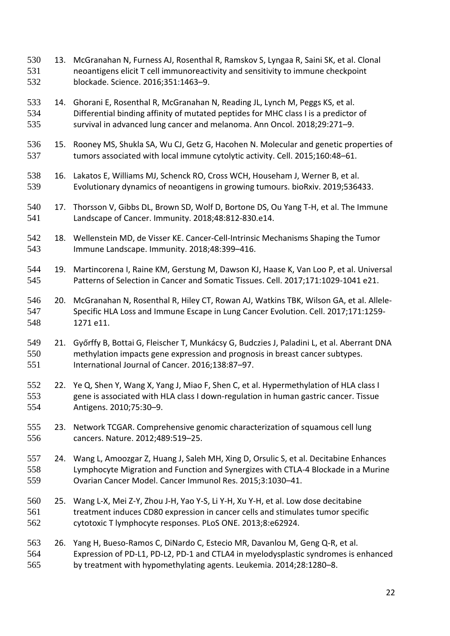- 13. McGranahan N, Furness AJ, Rosenthal R, Ramskov S, Lyngaa R, Saini SK, et al. Clonal neoantigens elicit T cell immunoreactivity and sensitivity to immune checkpoint blockade. Science. 2016;351:1463–9.
- 14. Ghorani E, Rosenthal R, McGranahan N, Reading JL, Lynch M, Peggs KS, et al. Differential binding affinity of mutated peptides for MHC class I is a predictor of survival in advanced lung cancer and melanoma. Ann Oncol. 2018;29:271–9.
- 15. Rooney MS, Shukla SA, Wu CJ, Getz G, Hacohen N. Molecular and genetic properties of tumors associated with local immune cytolytic activity. Cell. 2015;160:48–61.
- 16. Lakatos E, Williams MJ, Schenck RO, Cross WCH, Househam J, Werner B, et al. Evolutionary dynamics of neoantigens in growing tumours. bioRxiv. 2019;536433.
- 540 17. Thorsson V, Gibbs DL, Brown SD, Wolf D, Bortone DS, Ou Yang T-H, et al. The Immune Landscape of Cancer. Immunity. 2018;48:812-830.e14.
- 18. Wellenstein MD, de Visser KE. Cancer-Cell-Intrinsic Mechanisms Shaping the Tumor Immune Landscape. Immunity. 2018;48:399–416.
- 19. Martincorena I, Raine KM, Gerstung M, Dawson KJ, Haase K, Van Loo P, et al. Universal Patterns of Selection in Cancer and Somatic Tissues. Cell. 2017;171:1029-1041 e21.
- 20. McGranahan N, Rosenthal R, Hiley CT, Rowan AJ, Watkins TBK, Wilson GA, et al. Allele- Specific HLA Loss and Immune Escape in Lung Cancer Evolution. Cell. 2017;171:1259- 1271 e11.
- 21. Győrffy B, Bottai G, Fleischer T, Munkácsy G, Budczies J, Paladini L, et al. Aberrant DNA methylation impacts gene expression and prognosis in breast cancer subtypes. International Journal of Cancer. 2016;138:87–97.
- 22. Ye Q, Shen Y, Wang X, Yang J, Miao F, Shen C, et al. Hypermethylation of HLA class I gene is associated with HLA class I down-regulation in human gastric cancer. Tissue Antigens. 2010;75:30–9.
- 23. Network TCGAR. Comprehensive genomic characterization of squamous cell lung cancers. Nature. 2012;489:519–25.
- 24. Wang L, Amoozgar Z, Huang J, Saleh MH, Xing D, Orsulic S, et al. Decitabine Enhances Lymphocyte Migration and Function and Synergizes with CTLA-4 Blockade in a Murine Ovarian Cancer Model. Cancer Immunol Res. 2015;3:1030–41.
- 25. Wang L-X, Mei Z-Y, Zhou J-H, Yao Y-S, Li Y-H, Xu Y-H, et al. Low dose decitabine treatment induces CD80 expression in cancer cells and stimulates tumor specific cytotoxic T lymphocyte responses. PLoS ONE. 2013;8:e62924.
- 26. Yang H, Bueso-Ramos C, DiNardo C, Estecio MR, Davanlou M, Geng Q-R, et al. Expression of PD-L1, PD-L2, PD-1 and CTLA4 in myelodysplastic syndromes is enhanced by treatment with hypomethylating agents. Leukemia. 2014;28:1280–8.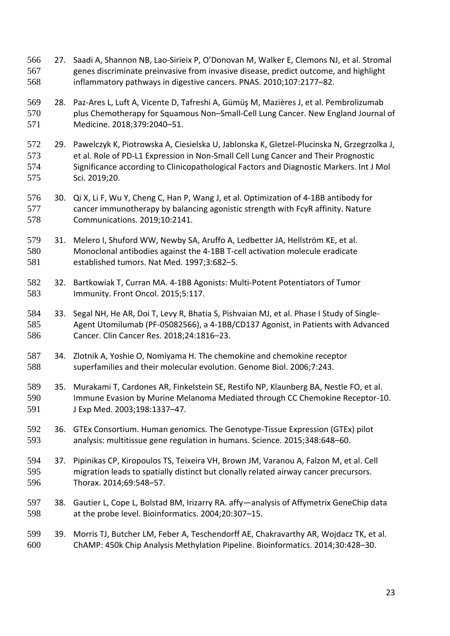- 27. Saadi A, Shannon NB, Lao-Sirieix P, O'Donovan M, Walker E, Clemons NJ, et al. Stromal genes discriminate preinvasive from invasive disease, predict outcome, and highlight inflammatory pathways in digestive cancers. PNAS. 2010;107:2177–82.
- 28. Paz-Ares L, Luft A, Vicente D, Tafreshi A, Gümüş M, Mazières J, et al. Pembrolizumab plus Chemotherapy for Squamous Non–Small-Cell Lung Cancer. New England Journal of Medicine. 2018;379:2040–51.
- 29. Pawelczyk K, Piotrowska A, Ciesielska U, Jablonska K, Gletzel-Plucinska N, Grzegrzolka J, et al. Role of PD-L1 Expression in Non-Small Cell Lung Cancer and Their Prognostic Significance according to Clinicopathological Factors and Diagnostic Markers. Int J Mol Sci. 2019;20.
- 30. Qi X, Li F, Wu Y, Cheng C, Han P, Wang J, et al. Optimization of 4-1BB antibody for cancer immunotherapy by balancing agonistic strength with FcγR affinity. Nature Communications. 2019;10:2141.
- 31. Melero I, Shuford WW, Newby SA, Aruffo A, Ledbetter JA, Hellström KE, et al. Monoclonal antibodies against the 4-1BB T-cell activation molecule eradicate established tumors. Nat Med. 1997;3:682–5.
- 32. Bartkowiak T, Curran MA. 4-1BB Agonists: Multi-Potent Potentiators of Tumor Immunity. Front Oncol. 2015;5:117.
- 33. Segal NH, He AR, Doi T, Levy R, Bhatia S, Pishvaian MJ, et al. Phase I Study of Single- Agent Utomilumab (PF-05082566), a 4-1BB/CD137 Agonist, in Patients with Advanced Cancer. Clin Cancer Res. 2018;24:1816–23.
- 34. Zlotnik A, Yoshie O, Nomiyama H. The chemokine and chemokine receptor superfamilies and their molecular evolution. Genome Biol. 2006;7:243.
- 35. Murakami T, Cardones AR, Finkelstein SE, Restifo NP, Klaunberg BA, Nestle FO, et al. Immune Evasion by Murine Melanoma Mediated through CC Chemokine Receptor-10. J Exp Med. 2003;198:1337–47.
- 36. GTEx Consortium. Human genomics. The Genotype-Tissue Expression (GTEx) pilot analysis: multitissue gene regulation in humans. Science. 2015;348:648–60.
- 37. Pipinikas CP, Kiropoulos TS, Teixeira VH, Brown JM, Varanou A, Falzon M, et al. Cell migration leads to spatially distinct but clonally related airway cancer precursors. Thorax. 2014;69:548–57.
- 38. Gautier L, Cope L, Bolstad BM, Irizarry RA. affy—analysis of Affymetrix GeneChip data at the probe level. Bioinformatics. 2004;20:307–15.
- 39. Morris TJ, Butcher LM, Feber A, Teschendorff AE, Chakravarthy AR, Wojdacz TK, et al. ChAMP: 450k Chip Analysis Methylation Pipeline. Bioinformatics. 2014;30:428–30.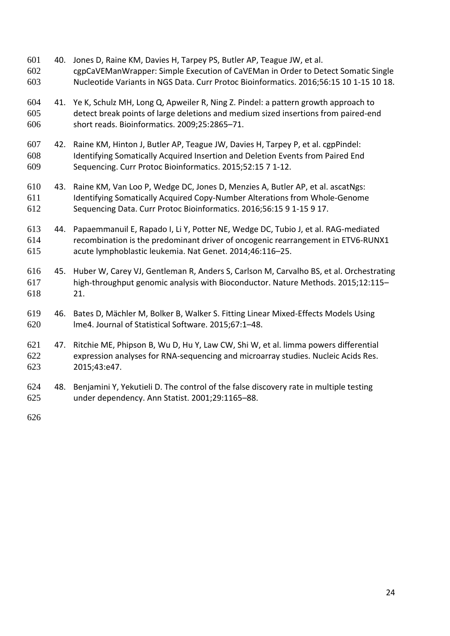- 40. Jones D, Raine KM, Davies H, Tarpey PS, Butler AP, Teague JW, et al. cgpCaVEManWrapper: Simple Execution of CaVEMan in Order to Detect Somatic Single Nucleotide Variants in NGS Data. Curr Protoc Bioinformatics. 2016;56:15 10 1-15 10 18.
- 41. Ye K, Schulz MH, Long Q, Apweiler R, Ning Z. Pindel: a pattern growth approach to detect break points of large deletions and medium sized insertions from paired-end short reads. Bioinformatics. 2009;25:2865–71.
- 42. Raine KM, Hinton J, Butler AP, Teague JW, Davies H, Tarpey P, et al. cgpPindel: Identifying Somatically Acquired Insertion and Deletion Events from Paired End Sequencing. Curr Protoc Bioinformatics. 2015;52:15 7 1-12.
- 43. Raine KM, Van Loo P, Wedge DC, Jones D, Menzies A, Butler AP, et al. ascatNgs: Identifying Somatically Acquired Copy-Number Alterations from Whole-Genome Sequencing Data. Curr Protoc Bioinformatics. 2016;56:15 9 1-15 9 17.
- 44. Papaemmanuil E, Rapado I, Li Y, Potter NE, Wedge DC, Tubio J, et al. RAG-mediated recombination is the predominant driver of oncogenic rearrangement in ETV6-RUNX1 acute lymphoblastic leukemia. Nat Genet. 2014;46:116–25.
- 45. Huber W, Carey VJ, Gentleman R, Anders S, Carlson M, Carvalho BS, et al. Orchestrating high-throughput genomic analysis with Bioconductor. Nature Methods. 2015;12:115– 21.
- 46. Bates D, Mächler M, Bolker B, Walker S. Fitting Linear Mixed-Effects Models Using lme4. Journal of Statistical Software. 2015;67:1–48.
- 47. Ritchie ME, Phipson B, Wu D, Hu Y, Law CW, Shi W, et al. limma powers differential expression analyses for RNA-sequencing and microarray studies. Nucleic Acids Res. 2015;43:e47.
- 48. Benjamini Y, Yekutieli D. The control of the false discovery rate in multiple testing under dependency. Ann Statist. 2001;29:1165–88.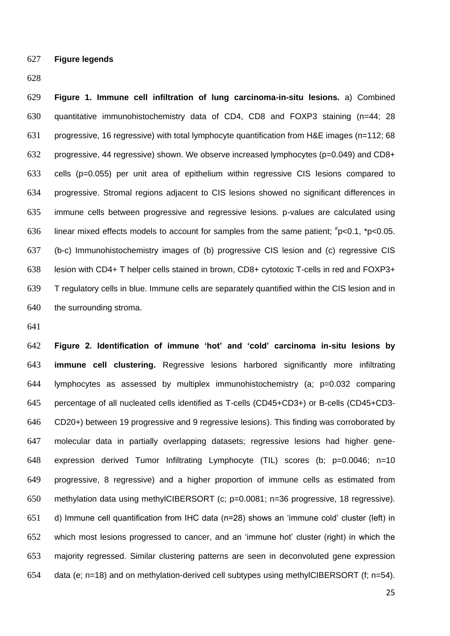**Figure legends**

 **Figure 1. Immune cell infiltration of lung carcinoma-in-situ lesions.** a) Combined quantitative immunohistochemistry data of CD4, CD8 and FOXP3 staining (n=44; 28 progressive, 16 regressive) with total lymphocyte quantification from H&E images (n=112; 68 progressive, 44 regressive) shown. We observe increased lymphocytes (p=0.049) and CD8+ cells (p=0.055) per unit area of epithelium within regressive CIS lesions compared to progressive. Stromal regions adjacent to CIS lesions showed no significant differences in immune cells between progressive and regressive lesions. p-values are calculated using 636 linear mixed effects models to account for samples from the same patient;  $\textsuperscript{#}p<0.1$ , \*p<0.05. (b-c) Immunohistochemistry images of (b) progressive CIS lesion and (c) regressive CIS lesion with CD4+ T helper cells stained in brown, CD8+ cytotoxic T-cells in red and FOXP3+ T regulatory cells in blue. Immune cells are separately quantified within the CIS lesion and in the surrounding stroma.

 **Figure 2. Identification of immune 'hot' and 'cold' carcinoma in-situ lesions by immune cell clustering.** Regressive lesions harbored significantly more infiltrating lymphocytes as assessed by multiplex immunohistochemistry (a; p=0.032 comparing percentage of all nucleated cells identified as T-cells (CD45+CD3+) or B-cells (CD45+CD3- CD20+) between 19 progressive and 9 regressive lesions). This finding was corroborated by molecular data in partially overlapping datasets; regressive lesions had higher gene- expression derived Tumor Infiltrating Lymphocyte (TIL) scores (b; p=0.0046; n=10 progressive, 8 regressive) and a higher proportion of immune cells as estimated from methylation data using methylCIBERSORT (c; p=0.0081; n=36 progressive, 18 regressive). d) Immune cell quantification from IHC data (n=28) shows an 'immune cold' cluster (left) in which most lesions progressed to cancer, and an 'immune hot' cluster (right) in which the majority regressed. Similar clustering patterns are seen in deconvoluted gene expression data (e; n=18) and on methylation-derived cell subtypes using methylCIBERSORT (f; n=54).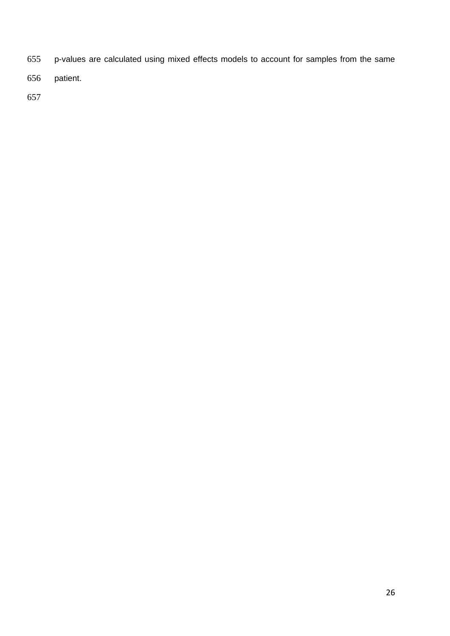- p-values are calculated using mixed effects models to account for samples from the same
- patient.
-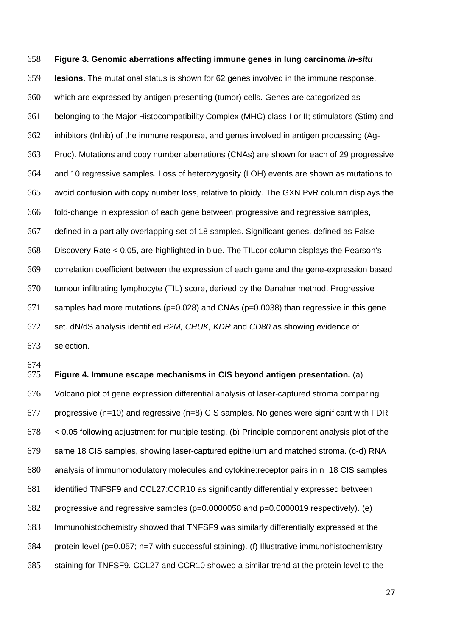**Figure 3. Genomic aberrations affecting immune genes in lung carcinoma** *in-situ* **lesions.** The mutational status is shown for 62 genes involved in the immune response, which are expressed by antigen presenting (tumor) cells. Genes are categorized as belonging to the Major Histocompatibility Complex (MHC) class I or II; stimulators (Stim) and inhibitors (Inhib) of the immune response, and genes involved in antigen processing (Ag- Proc). Mutations and copy number aberrations (CNAs) are shown for each of 29 progressive and 10 regressive samples. Loss of heterozygosity (LOH) events are shown as mutations to avoid confusion with copy number loss, relative to ploidy. The GXN PvR column displays the fold-change in expression of each gene between progressive and regressive samples, defined in a partially overlapping set of 18 samples. Significant genes, defined as False Discovery Rate < 0.05, are highlighted in blue. The TILcor column displays the Pearson's correlation coefficient between the expression of each gene and the gene-expression based tumour infiltrating lymphocyte (TIL) score, derived by the Danaher method. Progressive 671 samples had more mutations ( $p=0.028$ ) and CNAs ( $p=0.0038$ ) than regressive in this gene set. dN/dS analysis identified *B2M, CHUK, KDR* and *CD80* as showing evidence of selection.

 **Figure 4. Immune escape mechanisms in CIS beyond antigen presentation.** (a) Volcano plot of gene expression differential analysis of laser-captured stroma comparing 677 progressive (n=10) and regressive (n=8) CIS samples. No genes were significant with FDR < 0.05 following adjustment for multiple testing. (b) Principle component analysis plot of the same 18 CIS samples, showing laser-captured epithelium and matched stroma. (c-d) RNA analysis of immunomodulatory molecules and cytokine:receptor pairs in n=18 CIS samples identified TNFSF9 and CCL27:CCR10 as significantly differentially expressed between progressive and regressive samples (p=0.0000058 and p=0.0000019 respectively). (e) Immunohistochemistry showed that TNFSF9 was similarly differentially expressed at the protein level (p=0.057; n=7 with successful staining). (f) Illustrative immunohistochemistry staining for TNFSF9. CCL27 and CCR10 showed a similar trend at the protein level to the